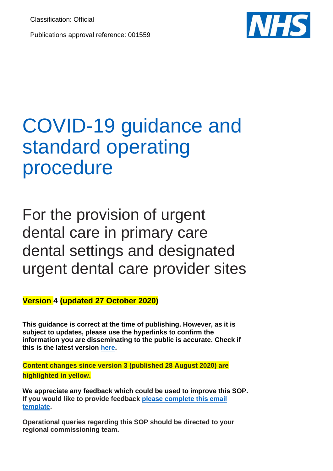Classification: Official

Publications approval reference: 001559



# COVID-19 guidance and standard operating procedure

For the provision of urgent dental care in primary care dental settings and designated urgent dental care provider sites

**Version 4 (updated 27 October 2020)**

**This guidance is correct at the time of publishing. However, as it is subject to updates, please use the hyperlinks to confirm the information you are disseminating to the public is accurate. Check if this is the latest version [here.](https://www.england.nhs.uk/coronavirus/primary-care/dental-practice/)**

**Content changes since version 3 (published 28 August 2020) are highlighted in yellow.**

**We appreciate any feedback which could be used to improve this SOP. If you would like to provide feedback [please complete this email](mailto:england.cov-primary-care@nhs.net?Subject=%20COVID-19-PRIMARY-CARE-SOP-FEEDBACK&Body=COVID-19%20standard%20operating%20procedure%20(5%20June%202020)%20%20-%20Urgent%20Dental%20Care%20%0d%20%0dPlease%20find%20this%20feedback%20on%20the%20current%20Urgent%20Dental%20Care%20Standard%20Operating%20Procedure%0d%0dName:%0d%0dRepresented%20Organisation:%0d%0dPage%20Number:%0d%0dSection:%0d%0dOriginal%20text:%0d%0dComments:%0d%0dSuggested%20amendments%20(If%20applicable):%0d%0dRationale%20for%20proposed%20amendment%20(If%20applicable):%0d%0d---------END-OF-FEEDBACK-BREAK--START-NEW-PARAGRAPH-BELOW-FOR-FEEDBACK-ON-OTHER-SECTIONS---------%0d%20%0d(copy%20above%20template%20and%20repeat%20for%20multiple%20sections%20you%20wish%20to%20provide%20feedback%20on%20-%20many%20thanks!))  [template.](mailto:england.cov-primary-care@nhs.net?Subject=%20COVID-19-PRIMARY-CARE-SOP-FEEDBACK&Body=COVID-19%20standard%20operating%20procedure%20(5%20June%202020)%20%20-%20Urgent%20Dental%20Care%20%0d%20%0dPlease%20find%20this%20feedback%20on%20the%20current%20Urgent%20Dental%20Care%20Standard%20Operating%20Procedure%0d%0dName:%0d%0dRepresented%20Organisation:%0d%0dPage%20Number:%0d%0dSection:%0d%0dOriginal%20text:%0d%0dComments:%0d%0dSuggested%20amendments%20(If%20applicable):%0d%0dRationale%20for%20proposed%20amendment%20(If%20applicable):%0d%0d---------END-OF-FEEDBACK-BREAK--START-NEW-PARAGRAPH-BELOW-FOR-FEEDBACK-ON-OTHER-SECTIONS---------%0d%20%0d(copy%20above%20template%20and%20repeat%20for%20multiple%20sections%20you%20wish%20to%20provide%20feedback%20on%20-%20many%20thanks!))** 

**Operational queries regarding this SOP should be directed to your regional commissioning team.**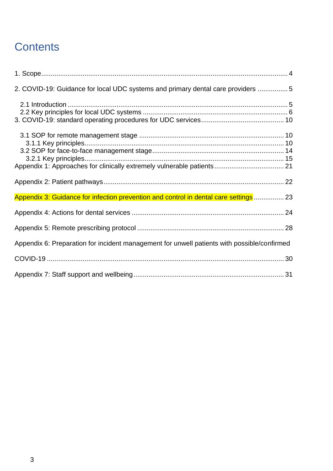### **Contents**

| 2. COVID-19: Guidance for local UDC systems and primary dental care providers 5             |  |
|---------------------------------------------------------------------------------------------|--|
|                                                                                             |  |
|                                                                                             |  |
|                                                                                             |  |
|                                                                                             |  |
|                                                                                             |  |
|                                                                                             |  |
|                                                                                             |  |
| Appendix 3: Guidance for infection prevention and control in dental care settings  23       |  |
|                                                                                             |  |
|                                                                                             |  |
| Appendix 6: Preparation for incident management for unwell patients with possible/confirmed |  |
|                                                                                             |  |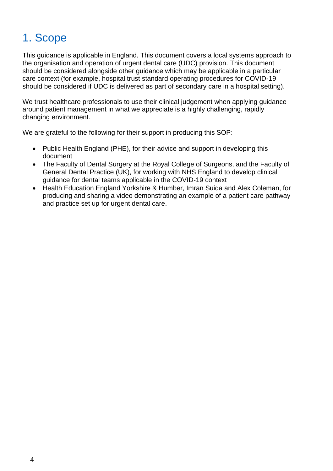### <span id="page-2-0"></span>1. Scope

This guidance is applicable in England. This document covers a local systems approach to the organisation and operation of urgent dental care (UDC) provision. This document should be considered alongside other guidance which may be applicable in a particular care context (for example, hospital trust standard operating procedures for COVID-19 should be considered if UDC is delivered as part of secondary care in a hospital setting).

We trust healthcare professionals to use their clinical judgement when applying quidance around patient management in what we appreciate is a highly challenging, rapidly changing environment.

We are grateful to the following for their support in producing this SOP:

- Public Health England (PHE), for their advice and support in developing this document
- The Faculty of Dental Surgery at the Royal College of Surgeons, and the Faculty of General Dental Practice (UK), for working with NHS England to develop clinical guidance for dental teams applicable in the COVID-19 context
- Health Education England Yorkshire & Humber, Imran Suida and Alex Coleman, for producing and sharing a video demonstrating an example of a patient care pathway and practice set up for urgent dental care.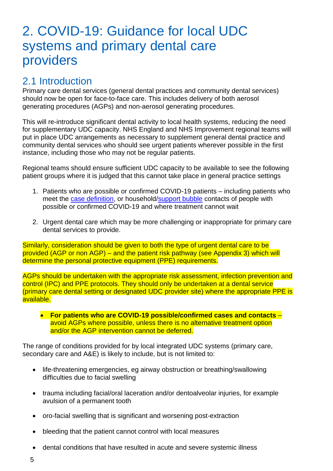### <span id="page-3-0"></span>2. COVID-19: Guidance for local UDC systems and primary dental care providers

### <span id="page-3-1"></span>2.1 Introduction

Primary care dental services (general dental practices and community dental services) should now be open for face-to-face care. This includes delivery of both aerosol generating procedures (AGPs) and non-aerosol generating procedures.

This will re-introduce significant dental activity to local health systems, reducing the need for supplementary UDC capacity. NHS England and NHS Improvement regional teams will put in place UDC arrangements as necessary to supplement general dental practice and community dental services who should see urgent patients wherever possible in the first instance, including those who may not be regular patients.

Regional teams should ensure sufficient UDC capacity to be available to see the following patient groups where it is judged that this cannot take place in general practice settings

- 1. Patients who are possible or confirmed COVID-19 patients including patients who meet the [case definition,](https://www.gov.uk/government/publications/wuhan-novel-coronavirus-initial-investigation-of-possible-cases/investigation-and-initial-clinical-management-of-possible-cases-of-wuhan-novel-coronavirus-wn-cov-infection) or household[/support bubble](https://www.gov.uk/guidance/meeting-people-from-outside-your-household#making-a-support-bubble-with-another-household) contacts of people with possible or confirmed COVID-19 and where treatment cannot wait
- 2. Urgent dental care which may be more challenging or inappropriate for primary care dental services to provide.

Similarly, consideration should be given to both the type of urgent dental care to be provided (AGP or non AGP) – and the patient risk pathway (see Appendix 3) which will determine the personal protective equipment (PPE) requirements.

AGPs should be undertaken with the appropriate risk assessment, infection prevention and control (IPC) and PPE protocols. They should only be undertaken at a dental service (primary care dental setting or designated UDC provider site) where the appropriate PPE is available.

• **For patients who are COVID-19 possible/confirmed cases and contacts** – avoid AGPs where possible, unless there is no alternative treatment option and/or the AGP intervention cannot be deferred.

The range of conditions provided for by local integrated UDC systems (primary care, secondary care and A&E) is likely to include, but is not limited to:

- life-threatening emergencies, eg airway obstruction or breathing/swallowing difficulties due to facial swelling
- trauma including facial/oral laceration and/or dentoalveolar injuries, for example avulsion of a permanent tooth
- oro-facial swelling that is significant and worsening post-extraction
- bleeding that the patient cannot control with local measures
- dental conditions that have resulted in acute and severe systemic illness
- 5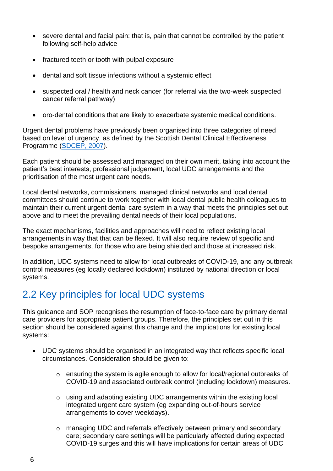- severe dental and facial pain: that is, pain that cannot be controlled by the patient following self-help advice
- fractured teeth or tooth with pulpal exposure
- dental and soft tissue infections without a systemic effect
- suspected oral / health and neck cancer (for referral via the two-week suspected cancer referral pathway)
- oro-dental conditions that are likely to exacerbate systemic medical conditions.

Urgent dental problems have previously been organised into three categories of need based on level of urgency, as defined by the Scottish Dental Clinical Effectiveness Programme [\(SDCEP, 2007\)](http://www.sdcep.org.uk/published-guidance/emergency-dental-care/).

Each patient should be assessed and managed on their own merit, taking into account the patient's best interests, professional judgement, local UDC arrangements and the prioritisation of the most urgent care needs.

Local dental networks, commissioners, managed clinical networks and local dental committees should continue to work together with local dental public health colleagues to maintain their current urgent dental care system in a way that meets the principles set out above and to meet the prevailing dental needs of their local populations.

The exact mechanisms, facilities and approaches will need to reflect existing local arrangements in way that that can be flexed. It will also require review of specific and bespoke arrangements, for those who are being shielded and those at increased risk.

In addition, UDC systems need to allow for local outbreaks of COVID-19, and any outbreak control measures (eg locally declared lockdown) instituted by national direction or local systems.

### <span id="page-4-0"></span>2.2 Key principles for local UDC systems

This guidance and SOP recognises the resumption of face-to-face care by primary dental care providers for appropriate patient groups. Therefore, the principles set out in this section should be considered against this change and the implications for existing local systems:

- UDC systems should be organised in an integrated way that reflects specific local circumstances. Consideration should be given to:
	- o ensuring the system is agile enough to allow for local/regional outbreaks of COVID-19 and associated outbreak control (including lockdown) measures.
	- o using and adapting existing UDC arrangements within the existing local integrated urgent care system (eg expanding out-of-hours service arrangements to cover weekdays).
	- $\circ$  managing UDC and referrals effectively between primary and secondary care; secondary care settings will be particularly affected during expected COVID-19 surges and this will have implications for certain areas of UDC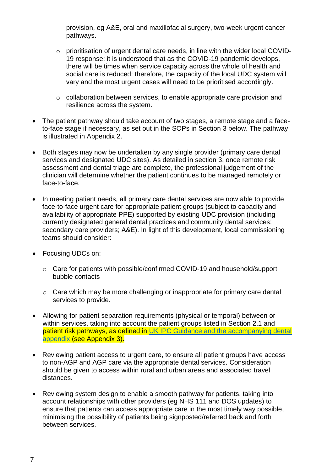provision, eg A&E, oral and maxillofacial surgery, two-week urgent cancer pathways.

- o prioritisation of urgent dental care needs, in line with the wider local COVID-19 response; it is understood that as the COVID-19 pandemic develops, there will be times when service capacity across the whole of health and social care is reduced: therefore, the capacity of the local UDC system will vary and the most urgent cases will need to be prioritised accordingly.
- o collaboration between services, to enable appropriate care provision and resilience across the system.
- The patient pathway should take account of two stages, a remote stage and a faceto-face stage if necessary, as set out in the SOPs in Section 3 below. The pathway is illustrated in Appendix 2.
- Both stages may now be undertaken by any single provider (primary care dental services and designated UDC sites). As detailed in section 3, once remote risk assessment and dental triage are complete, the professional judgement of the clinician will determine whether the patient continues to be managed remotely or face-to-face.
- In meeting patient needs, all primary care dental services are now able to provide face-to-face urgent care for appropriate patient groups (subject to capacity and availability of appropriate PPE) supported by existing UDC provision (including currently designated general dental practices and community dental services; secondary care providers; A&E). In light of this development, local commissioning teams should consider:
- Focusing UDCs on:
	- o Care for patients with possible/confirmed COVID-19 and household/support bubble contacts
	- o Care which may be more challenging or inappropriate for primary care dental services to provide.
- Allowing for patient separation requirements (physical or temporal) between or within services, taking into account the patient groups listed in Section 2.1 and patient risk pathways, as defined in UK IPC Guidance and the accompanying dental [appendix](https://www.gov.uk/government/publications/wuhan-novel-coronavirus-infection-prevention-and-control) (see Appendix 3).
- Reviewing patient access to urgent care, to ensure all patient groups have access to non-AGP and AGP care via the appropriate dental services. Consideration should be given to access within rural and urban areas and associated travel distances.
- Reviewing system design to enable a smooth pathway for patients, taking into account relationships with other providers (eg NHS 111 and DOS updates) to ensure that patients can access appropriate care in the most timely way possible, minimising the possibility of patients being signposted/referred back and forth between services.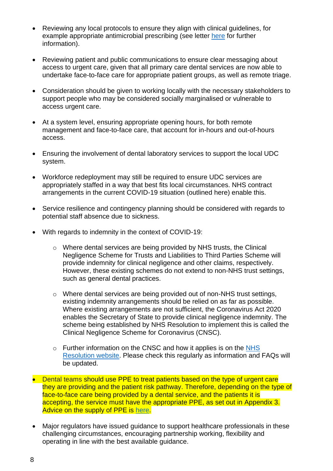- Reviewing any local protocols to ensure they align with clinical guidelines, for example appropriate antimicrobial prescribing (see letter [here](https://bda.org/advice/Coronavirus/Documents/Prescribing%20antibiotics%20in%20urgent%20dental%20care.pdf) for further information).
- Reviewing patient and public communications to ensure clear messaging about access to urgent care, given that all primary care dental services are now able to undertake face-to-face care for appropriate patient groups, as well as remote triage.
- Consideration should be given to working locally with the necessary stakeholders to support people who may be considered socially marginalised or vulnerable to access urgent care.
- At a system level, ensuring appropriate opening hours, for both remote management and face-to-face care, that account for in-hours and out-of-hours access.
- Ensuring the involvement of dental laboratory services to support the local UDC system.
- Workforce redeployment may still be required to ensure UDC services are appropriately staffed in a way that best fits local circumstances. NHS contract arrangements in the current COVID-19 situation (outlined [here\)](https://www.england.nhs.uk/coronavirus/wp-content/uploads/sites/52/2020/03/issue-3-preparedness-letter-for-primary-dental-care-25-march-2020.pdf) enable this.
- Service resilience and contingency planning should be considered with regards to potential staff absence due to sickness.
- With regards to indemnity in the context of COVID-19:
	- o Where dental services are being provided by NHS trusts, the Clinical Negligence Scheme for Trusts and Liabilities to Third Parties Scheme will provide indemnity for clinical negligence and other claims, respectively. However, these existing schemes do not extend to non-NHS trust settings, such as general dental practices.
	- o Where dental services are being provided out of non-NHS trust settings, existing indemnity arrangements should be relied on as far as possible. Where existing arrangements are not sufficient, the Coronavirus Act 2020 enables the Secretary of State to provide clinical negligence indemnity. The scheme being established by NHS Resolution to implement this is called the Clinical Negligence Scheme for Coronavirus (CNSC).
	- o Further information on the CNSC and how it applies is on the NHS [Resolution website.](https://resolution.nhs.uk/services/claims-management/clinical-schemes/clinical-negligence-scheme-for-coronavirus/) Please check this regularly as information and FAQs will be updated.
- Dental teams should use PPE to treat patients based on the type of urgent care they are providing and the patient risk pathway. Therefore, depending on the type of face-to-face care being provided by a dental service, and the patients it is accepting, the service must have the appropriate PPE, as set out in Appendix 3. Advice on the supply of PPE is [here.](https://www.england.nhs.uk/coronavirus/primary-care/infection-control/ppe/)
- Major regulators have issued [guidance t](https://www.nmc.org.uk/news/news-and-updates/how-we-will-continue-to-regulate-in-light-of-novel-coronavirus/)o support healthcare professionals in these challenging circumstances, encouraging partnership working, flexibility and operating in line with the best available guidance.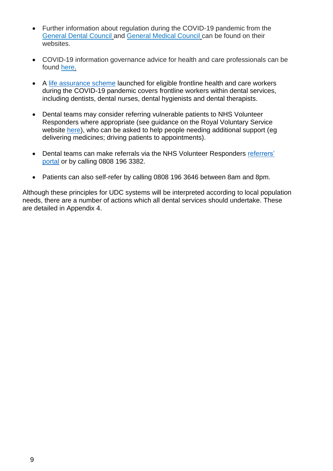- Further information about regulation during the COVID-19 pandemic from the [General Dental Council](https://www.gdc-uk.org/information-standards-guidance/covid-19/covid-19-latest-information) and [General Medical Council](https://www.gmc-uk.org/) can be found on their websites.
- COVID-19 information governance advice for health and care professionals can be found [here.](https://www.nhsx.nhs.uk/key-information-and-tools/information-governance-guidance/health-care-professionals)
- A [life assurance scheme](https://www.gov.uk/government/news/new-guarantee-on-death-in-service-benefits-for-frontline-health-and-care-staff-during-pandemic) launched for eligible frontline health and care workers during the COVID-19 pandemic covers frontline workers within dental services, including dentists, dental nurses, dental hygienists and dental therapists.
- Dental teams may consider referring vulnerable patients to NHS Volunteer Responders where appropriate (see guidance on the Royal Voluntary Service website [here\)](https://volunteering.royalvoluntaryservice.org.uk/nhs-volunteer-responders-portal/referral-healthcare-referrers), who can be asked to help people needing additional support (eg delivering medicines; driving patients to appointments).
- Dental teams can make referrals via the NHS Volunteer Responders referrers' [portal](https://www.goodsamapp.org/NHSreferral) or by calling 0808 196 3382.
- Patients can also self-refer by calling 0808 196 3646 between 8am and 8pm.

Although these principles for UDC systems will be interpreted according to local population needs, there are a number of actions which all dental services should undertake. These are detailed in Appendix 4.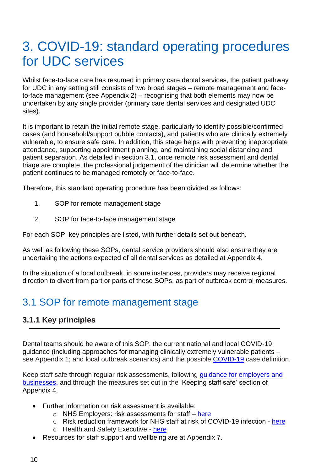# <span id="page-8-0"></span>3. COVID-19: standard operating procedures for UDC services

Whilst face-to-face care has resumed in primary care dental services, the patient pathway for UDC in any setting still consists of two broad stages – remote management and faceto-face management (see Appendix 2) – recognising that both elements may now be undertaken by any single provider (primary care dental services and designated UDC sites).

It is important to retain the initial remote stage, particularly to identify possible/confirmed cases (and household/support bubble contacts), and patients who are clinically extremely vulnerable, to ensure safe care. In addition, this stage helps with preventing inappropriate attendance, supporting appointment planning, and maintaining social distancing and patient separation. As detailed in section 3.1, once remote risk assessment and dental triage are complete, the professional judgement of the clinician will determine whether the patient continues to be managed remotely or face-to-face.

Therefore, this standard operating procedure has been divided as follows:

- 1. SOP for remote management stage
- 2. SOP for face-to-face management stage

For each SOP, key principles are listed, with further details set out beneath.

As well as following these SOPs, dental service providers should also ensure they are undertaking the actions expected of all dental services as detailed at Appendix 4.

In the situation of a local outbreak, in some instances, providers may receive regional direction to divert from part or parts of these SOPs, as part of outbreak control measures.

### <span id="page-8-1"></span>3.1 SOP for remote management stage

#### <span id="page-8-2"></span>**3.1.1 Key principles**

Dental teams should be aware of this SOP, the current national and local COVID-19 guidance (including approaches for managing clinically extremely vulnerable patients – see Appendix 1; and local outbreak scenarios) and the possible [COVID-19](https://www.gov.uk/government/publications/wuhan-novel-coronavirus-initial-investigation-of-possible-cases/investigation-and-initial-clinical-management-of-possible-cases-of-wuhan-novel-coronavirus-wn-cov-infection) case definition.

Keep staff safe through regular risk assessments, following [guidance for](https://www.gov.uk/government/publications/guidance-to-employers-and-businesses-about-covid-19) [employers and](https://www.gov.uk/government/publications/guidance-to-employers-and-businesses-about-covid-19)  [businesses, a](https://www.gov.uk/government/publications/guidance-to-employers-and-businesses-about-covid-19)nd through the measures set out in the 'Keeping staff safe' section of Appendix 4.

- Further information on risk assessment is available:
	- $\circ$  NHS Employers: risk assessments for staff [here](https://www.nhsemployers.org/covid19/health-safety-and-wellbeing/risk-assessments-for-staff)
	- o Risk reduction framework for NHS staff at risk of COVID-19 infection [here](https://www.fom.ac.uk/covid-19/update-risk-reduction-framework-for-nhs-staff-at-risk-of-covid-19-infection)
	- o Health and Safety Executive [here](https://www.hse.gov.uk/coronavirus/working-safely/risk-assessment.htm)
- Resources for staff support and wellbeing are at Appendix 7.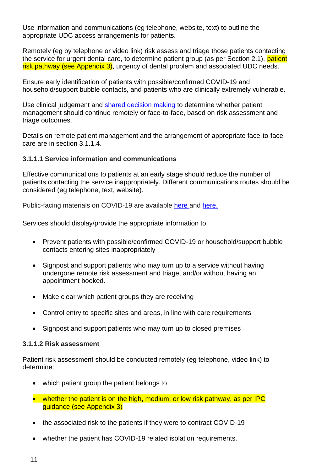Use information and communications (eg telephone, website, text) to outline the appropriate UDC access arrangements for patients.

Remotely (eg by telephone or video link) risk assess and triage those patients contacting the service for urgent dental care, to determine patient group (as per Section 2.1), patient risk pathway (see Appendix 3), urgency of dental problem and associated UDC needs.

Ensure early identification of patients with possible/confirmed COVID-19 and household/support bubble contacts, and patients who are clinically extremely vulnerable.

Use clinical judgement and [shared decision making](https://www.nice.org.uk/about/what-we-do/our-programmes/nice-guidance/nice-guidelines/shared-decision-making) to determine whether patient management should continue remotely or face-to-face, based on risk assessment and triage outcomes.

Details on remote patient management and the arrangement of appropriate face-to-face care are in section 3.1.1.4.

#### **3.1.1.1 Service information and communications**

Effective communications to patients at an early stage should reduce the number of patients contacting the service inappropriately. Different communications routes should be considered (eg telephone, text, website).

Public-facing materials on COVID-19 are available [here a](https://www.england.nhs.uk/coronavirus/primary-care/other-resources/posters/)nd [here.](https://coronavirusresources.phe.gov.uk/)

Services should display/provide the appropriate information to:

- Prevent patients with possible/confirmed COVID-19 or household/support bubble contacts entering sites inappropriately
- Signpost and support patients who may turn up to a service without having undergone remote risk assessment and triage, and/or without having an appointment booked.
- Make clear which patient groups they are receiving
- Control entry to specific sites and areas, in line with care requirements
- Signpost and support patients who may turn up to closed premises

#### **3.1.1.2 Risk assessment**

Patient risk assessment should be conducted remotely (eg telephone, video link) to determine:

- which patient group the patient belongs to
- whether the patient is on the high, medium, or low risk pathway, as per IPC guidance (see Appendix 3)
- the associated risk to the patients if they were to contract COVID-19
- whether the patient has COVID-19 related isolation requirements.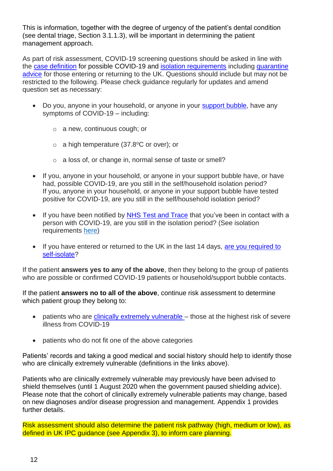This is information, together with the degree of urgency of the patient's dental condition (see dental triage, Section 3.1.1.3), will be important in determining the patient management approach.

As part of risk assessment, COVID-19 screening questions should be asked in line with the [case definition](https://www.gov.uk/government/publications/wuhan-novel-coronavirus-initial-investigation-of-possible-cases/investigation-and-initial-clinical-management-of-possible-cases-of-wuhan-novel-coronavirus-wn-cov-infection) for possible COVID-19 and [isolation requirements](https://www.nhs.uk/conditions/coronavirus-covid-19/what-to-do-if-you-or-someone-you-live-with-has-coronavirus-symptoms/staying-at-home-if-you-or-someone-you-live-with-has-coronavirus-symptoms/) including quarantine [advice](https://www.gov.uk/government/publications/coronavirus-covid-19-how-to-self-isolate-when-you-travel-to-the-uk/coronavirus-covid-19-how-to-self-isolate-when-you-travel-to-the-uk) for those entering or returning to the UK. Questions should include but may not be restricted to the following. Please check guidance regularly for updates and amend question set as necessary:

- Do you, anyone in your household, or anyone in your [support bubble,](https://www.gov.uk/guidance/meeting-people-from-outside-your-household#making-a-support-bubble-with-another-household) have any symptoms of COVID-19 – including:
	- o a new, continuous cough; or
	- $\circ$  a high temperature (37.8°C or over); or
	- o a loss of, or change in, normal sense of taste or smell?
- If you, anyone in your household, or anyone in your support bubble have, or have had, possible COVID-19, are you still in the self/household isolation period? If you, anyone in your household, or anyone in your support bubble have tested positive for COVID-19, are you still in the self/household isolation period?
- If you have been notified by [NHS Test and Trace](https://www.nhs.uk/conditions/coronavirus-covid-19/testing-and-tracing/nhs-test-and-trace-if-youve-been-in-contact-with-a-person-who-has-coronavirus/) that you've been in contact with a person with COVID-19, are you still in the isolation period? (See isolation requirements [here\)](https://www.nhs.uk/conditions/coronavirus-covid-19/testing-and-tracing/nhs-test-and-trace-if-youve-been-in-contact-with-a-person-who-has-coronavirus/)
- If you have entered or returned to the UK in the last 14 days, are you required to [self-isolate?](https://www.gov.uk/government/publications/coronavirus-covid-19-how-to-self-isolate-when-you-travel-to-the-uk/coronavirus-covid-19-how-to-self-isolate-when-you-travel-to-the-uk)

If the patient **answers yes to any of the above**, then they belong to the group of patients who are possible or confirmed COVID-19 patients or household/support bubble contacts.

If the patient **answers no to all of the above**, continue risk assessment to determine which patient group they belong to:

- patients who are [clinically extremely vulnerable](https://www.gov.uk/government/publications/staying-alert-and-safe-social-distancing/staying-alert-and-safe-social-distancing-after-4-july#clinically-vulnerable-people) those at the highest risk of severe illness from COVID-19
- patients who do not fit one of the above categories

Patients' records and taking a good medical and social history should help to identify those who are clinically extremely vulnerable (definitions in the links above).

Patients who are clinically extremely vulnerable may previously have been advised to shield themselves (until 1 August 2020 when the government paused shielding advice). Please note that the cohort of clinically extremely vulnerable patients may change, based on new diagnoses and/or disease progression and management. Appendix 1 provides further details.

Risk assessment should also determine the patient risk pathway (high, medium or low), as defined in UK IPC guidance (see Appendix 3), to inform care planning.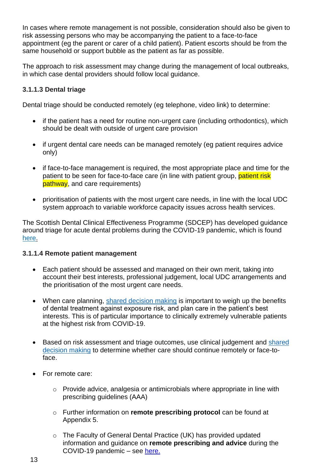In cases where remote management is not possible, consideration should also be given to risk assessing persons who may be accompanying the patient to a face-to-face appointment (eg the parent or carer of a child patient). Patient escorts should be from the same household or support bubble as the patient as far as possible.

The approach to risk assessment may change during the management of local outbreaks, in which case dental providers should follow local guidance.

#### **3.1.1.3 Dental triage**

Dental triage should be conducted remotely (eg telephone, video link) to determine:

- if the patient has a need for routine non-urgent care (including orthodontics), which should be dealt with outside of urgent care provision
- if urgent dental care needs can be managed remotely (eg patient requires advice only)
- if face-to-face management is required, the most appropriate place and time for the patient to be seen for face-to-face care (in line with patient group, patient risk pathway, and care requirements)
- prioritisation of patients with the most urgent care needs, in line with the local UDC system approach to variable workforce capacity issues across health services.

The Scottish Dental Clinical Effectiveness Programme (SDCEP) has developed guidance around triage for acute dental problems during the COVID-19 pandemic, which is found [here.](http://www.sdcep.org.uk/published-guidance/acute-dental-problems-covid-19/)

#### **3.1.1.4 Remote patient management**

- Each patient should be assessed and managed on their own merit, taking into account their best interests, professional judgement, local UDC arrangements and the prioritisation of the most urgent care needs.
- When care planning, [shared decision making](https://www.nice.org.uk/about/what-we-do/our-programmes/nice-guidance/nice-guidelines/shared-decision-making) is important to weigh up the benefits of dental treatment against exposure risk, and plan care in the patient's best interests. This is of particular importance to clinically extremely vulnerable patients at the highest risk from COVID-19.
- Based on risk assessment and triage outcomes, use clinical judgement and shared [decision making](https://www.nice.org.uk/about/what-we-do/our-programmes/nice-guidance/nice-guidelines/shared-decision-making) to determine whether care should continue remotely or face-toface.
- For remote care:
	- o Provide advice, analgesia or antimicrobials where appropriate in line with prescribing guidelines (AAA)
	- o Further information on **remote prescribing protocol** can be found at Appendix 5.
	- o The Faculty of General Dental Practice (UK) has provided updated information and guidance on **remote prescribing and advice** during the COVID-19 pandemic – see [here.](https://www.fgdp.org.uk/news/covid-19-latest-guidance-and-resources-gdps#Remote prescribing and advice)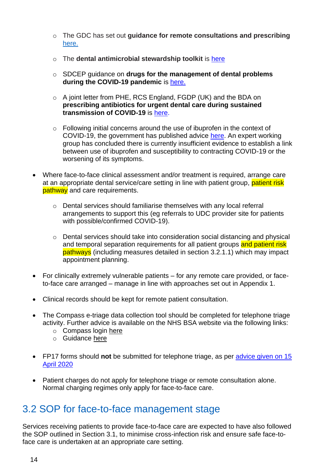- o The GDC has set out **guidance for remote consultations and prescribing**  [here.](https://www.gdc-uk.org/docs/default-source/guidance-documents/high-level-principles-remote-consultations-and-prescribing.pdf?sfvrsn=d46c3ca5_4)
- o The **dental antimicrobial stewardship toolkit** is [here](https://www.gov.uk/guidance/dental-antimicrobial-stewardship-toolkit)
- o SDCEP guidance on **drugs for the management of dental problems during the COVID-19 pandemic** is [here.](http://www.sdcep.org.uk/published-guidance/acute-dental-problems-covid-19/)
- o A joint letter from PHE, RCS England, FGDP (UK) and the BDA on **prescribing antibiotics for urgent dental care during sustained transmission of COVID-19** is [here.](https://bda.org/advice/Coronavirus/Documents/Prescribing%20antibiotics%20in%20urgent%20dental%20care.pdf)
- o Following initial concerns around the use of ibuprofen in the context of COVID-19, the government has published advice [here.](https://www.gov.uk/government/news/commission-on-human-medicines-advice-on-ibuprofen-and-coronavirus-covid-19) An expert working group has concluded there is currently insufficient evidence to establish a link between use of ibuprofen and susceptibility to contracting COVID-19 or the worsening of its symptoms.
- Where face-to-face clinical assessment and/or treatment is required, arrange care at an appropriate dental service/care setting in line with patient group, patient risk pathway and care requirements.
	- $\circ$  Dental services should familiarise themselves with any local referral arrangements to support this (eg referrals to UDC provider site for patients with possible/confirmed COVID-19).
	- $\circ$  Dental services should take into consideration social distancing and physical and temporal separation requirements for all patient groups and patient risk pathways (including measures detailed in section 3.2.1.1) which may impact appointment planning.
- For clinically extremely vulnerable patients for any remote care provided, or faceto-face care arranged – manage in line with approaches set out in Appendix 1.
- Clinical records should be kept for remote patient consultation.
- The Compass e-triage data collection tool should be completed for telephone triage activity. Further advice is available on the NHS BSA website via the following links:
	- o Compass login [here](https://www.nhsbsa.nhs.uk/compass)
	- o Guidance [here](https://www.nhsbsa.nhs.uk/sites/default/files/2020-04/Triage_Covid-19_guidance_notes.pdf)
- FP17 forms should **not** be submitted for telephone triage, as per advice given on 15 [April 2020](https://www.england.nhs.uk/coronavirus/wp-content/uploads/sites/52/2020/03/C0282-covid-19-dental-preparedness-letter-15-april-2020.pdf)
- Patient charges do not apply for telephone triage or remote consultation alone. Normal charging regimes only apply for face-to-face care.

### <span id="page-12-0"></span>3.2 SOP for face-to-face management stage

Services receiving patients to provide face-to-face care are expected to have also followed the SOP outlined in Section 3.1, to minimise cross-infection risk and ensure safe face-toface care is undertaken at an appropriate care setting.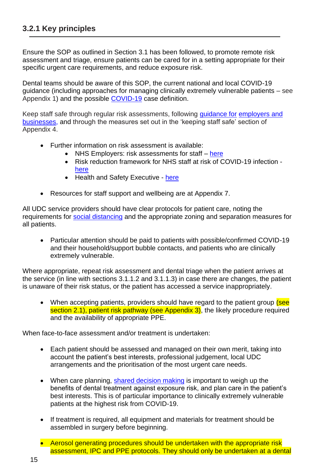<span id="page-13-0"></span>Ensure the SOP as outlined in Section 3.1 has been followed, to promote remote risk assessment and triage, ensure patients can be cared for in a setting appropriate for their specific urgent care requirements, and reduce exposure risk.

Dental teams should be aware of this SOP, the current national and local COVID-19 guidance (including approaches for managing clinically extremely vulnerable patients – see Appendix 1) and the possible [COVID-19](https://www.gov.uk/government/publications/wuhan-novel-coronavirus-initial-investigation-of-possible-cases/investigation-and-initial-clinical-management-of-possible-cases-of-wuhan-novel-coronavirus-wn-cov-infection) case definition.

Keep staff safe through regular risk assessments, following [guidance for](https://www.gov.uk/government/publications/guidance-to-employers-and-businesses-about-covid-19) [employers and](https://www.gov.uk/government/publications/guidance-to-employers-and-businesses-about-covid-19)  [businesses, a](https://www.gov.uk/government/publications/guidance-to-employers-and-businesses-about-covid-19)nd through the measures set out in the 'keeping staff safe' section of Appendix 4.

- Further information on risk assessment is available:
	- NHS Employers: risk assessments for staff  $-$  [here](https://www.nhsemployers.org/covid19/health-safety-and-wellbeing/risk-assessments-for-staff)
	- Risk reduction framework for NHS staff at risk of COVID-19 infection [here](https://www.fom.ac.uk/covid-19/update-risk-reduction-framework-for-nhs-staff-at-risk-of-covid-19-infection)
	- Health and Safety Executive [here](https://www.hse.gov.uk/coronavirus/working-safely/risk-assessment.htm)
- Resources for staff support and wellbeing are at Appendix 7.

All UDC service providers should have clear protocols for patient care, noting the requirements for [social distancing](https://www.gov.uk/government/publications/staying-alert-and-safe-social-distancing/staying-alert-and-safe-social-distancing) and the appropriate zoning and separation measures for all patients.

• Particular attention should be paid to patients with possible/confirmed COVID-19 and their household/support bubble contacts, and patients who are clinically extremely vulnerable.

Where appropriate, repeat risk assessment and dental triage when the patient arrives at the service (in line with sections 3.1.1.2 and 3.1.1.3) in case there are changes, the patient is unaware of their risk status, or the patient has accessed a service inappropriately.

• When accepting patients, providers should have regard to the patient group (see section 2.1), patient risk pathway (see Appendix 3), the likely procedure required and the availability of appropriate PPE.

When face-to-face assessment and/or treatment is undertaken:

- Each patient should be assessed and managed on their own merit, taking into account the patient's best interests, professional judgement, local UDC arrangements and the prioritisation of the most urgent care needs.
- When care planning, [shared decision making](https://www.nice.org.uk/about/what-we-do/our-programmes/nice-guidance/nice-guidelines/shared-decision-making) is important to weigh up the benefits of dental treatment against exposure risk, and plan care in the patient's best interests. This is of particular importance to clinically extremely vulnerable patients at the highest risk from COVID-19.
- If treatment is required, all equipment and materials for treatment should be assembled in surgery before beginning.
- Aerosol generating procedures should be undertaken with the appropriate risk assessment, IPC and PPE protocols. They should only be undertaken at a dental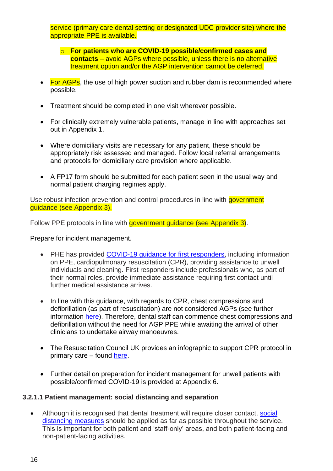service (primary care dental setting or designated UDC provider site) where the appropriate PPE is available.

- o **For patients who are COVID-19 possible/confirmed cases and contacts** – avoid AGPs where possible, unless there is no alternative treatment option and/or the AGP intervention cannot be deferred.
- For AGPs, the use of high power suction and rubber dam is recommended where possible.
- Treatment should be completed in one visit wherever possible.
- For clinically extremely vulnerable patients, manage in line with approaches set out in Appendix 1.
- Where domiciliary visits are necessary for any patient, these should be appropriately risk assessed and managed. Follow local referral arrangements and protocols for domiciliary care provision where applicable.
- A FP17 form should be submitted for each patient seen in the usual way and normal patient charging regimes apply.

Use robust infection prevention and control procedures in line with government guidance (see Appendix 3).

Follow PPE protocols in line with government guidance (see Appendix 3).

Prepare for incident management.

- PHE has provided COVID-19 quidance for first responders, including information on PPE, cardiopulmonary resuscitation (CPR), providing assistance to unwell individuals and cleaning. First responders include professionals who, as part of their normal roles, provide immediate assistance requiring first contact until further medical assistance arrives.
- In line with this guidance, with regards to CPR, chest compressions and defibrillation (as part of resuscitation) are not considered AGPs (see further information [here\)](https://www.gov.uk/government/publications/wuhan-novel-coronavirus-infection-prevention-and-control/phe-statement-regarding-nervtag-review-and-consensus-on-cardiopulmonary-resuscitation-as-an-aerosol-generating-procedure-agp). Therefore, dental staff can commence chest compressions and defibrillation without the need for AGP PPE while awaiting the arrival of other clinicians to undertake airway manoeuvres.
- The Resuscitation Council UK provides an infographic to support CPR protocol in primary care – found [here.](https://www.resus.org.uk/media/statements/resuscitation-council-uk-statements-on-covid-19-coronavirus-cpr-and-resuscitation/primary-care-settings/)
- Further detail on preparation for incident management for unwell patients with possible/confirmed COVID-19 is provided at Appendix 6.

#### **3.2.1.1 Patient management: social distancing and separation**

• Although it is recognised that dental treatment will require closer contact, social [distancing measures](https://www.gov.uk/government/publications/staying-alert-and-safe-social-distancing/staying-alert-and-safe-social-distancing) should be applied as far as possible throughout the service. This is important for both patient and 'staff-only' areas, and both patient-facing and non-patient-facing activities.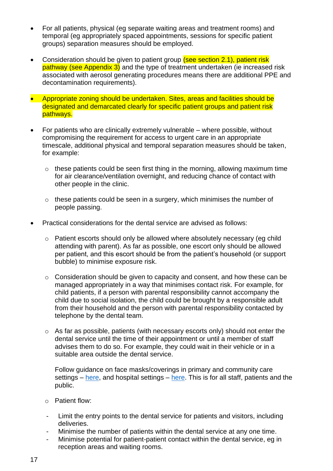- For all patients, physical (eg separate waiting areas and treatment rooms) and temporal (eg appropriately spaced appointments, sessions for specific patient groups) separation measures should be employed.
- Consideration should be given to patient group (see section 2.1), patient risk pathway (see Appendix 3) and the type of treatment undertaken (ie increased risk associated with aerosol generating procedures means there are additional PPE and decontamination requirements).
- Appropriate zoning should be undertaken. Sites, areas and facilities should be designated and demarcated clearly for specific patient groups and patient risk pathways.
- For patients who are clinically extremely vulnerable where possible, without compromising the requirement for access to urgent care in an appropriate timescale, additional physical and temporal separation measures should be taken, for example:
	- $\circ$  these patients could be seen first thing in the morning, allowing maximum time for air clearance/ventilation overnight, and reducing chance of contact with other people in the clinic.
	- $\circ$  these patients could be seen in a surgery, which minimises the number of people passing.
- Practical considerations for the dental service are advised as follows:
	- o Patient escorts should only be allowed where absolutely necessary (eg child attending with parent). As far as possible, one escort only should be allowed per patient, and this escort should be from the patient's household (or support bubble) to minimise exposure risk.
	- o Consideration should be given to capacity and consent, and how these can be managed appropriately in a way that minimises contact risk. For example, for child patients, if a person with parental responsibility cannot accompany the child due to social isolation, the child could be brought by a responsible adult from their household and the person with parental responsibility contacted by telephone by the dental team.
	- $\circ$  As far as possible, patients (with necessary escorts only) should not enter the dental service until the time of their appointment or until a member of staff advises them to do so. For example, they could wait in their vehicle or in a suitable area outside the dental service.

Follow guidance on face masks/coverings in primary and community care settings – [here,](https://www.gov.uk/government/publications/wuhan-novel-coronavirus-infection-prevention-and-control/new-recommendations-for-primary-and-community-health-care-providers-in-england) and hospital settings – [here.](https://www.gov.uk/government/publications/wuhan-novel-coronavirus-infection-prevention-and-control/new-government-recommendations-for-england-nhs-hospital-trusts-and-private-hospital-providers) This is for all staff, patients and the public.

- o Patient flow:
- Limit the entry points to the dental service for patients and visitors, including deliveries.
- Minimise the number of patients within the dental service at any one time.
- Minimise potential for patient-patient contact within the dental service, eg in reception areas and waiting rooms.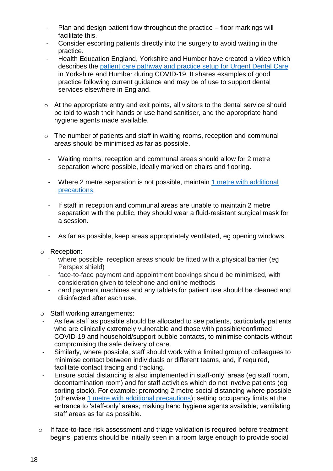- Plan and design patient flow throughout the practice floor markings will facilitate this.
- Consider escorting patients directly into the surgery to avoid waiting in the practice.
- Health Education England, Yorkshire and Humber have created a video which describes the [patient care pathway and practice setup for Urgent Dental Care](https://generalpracticebulletin.cmail19.com/t/d-l-mdlkiik-tllrukjiki-d/) in Yorkshire and Humber during COVID-19. It shares examples of good practice following current guidance and may be of use to support dental services elsewhere in England.
- $\circ$  At the appropriate entry and exit points, all visitors to the dental service should be told to wash their hands or use hand sanitiser, and the appropriate hand hygiene agents made available.
- o The number of patients and staff in waiting rooms, reception and communal areas should be minimised as far as possible.
	- Waiting rooms, reception and communal areas should allow for 2 metre separation where possible, ideally marked on chairs and flooring.
	- Where 2 metre separation is not possible, maintain [1 metre with additional](https://www.gov.uk/government/publications/staying-safe-outside-your-home/staying-safe-outside-your-home)  [precautions.](https://www.gov.uk/government/publications/staying-safe-outside-your-home/staying-safe-outside-your-home)
	- If staff in reception and communal areas are unable to maintain 2 metre separation with the public, they should wear a fluid-resistant surgical mask for a session.
- As far as possible, keep areas appropriately ventilated, eg opening windows.
- o Reception:
	- where possible, reception areas should be fitted with a physical barrier (eg Perspex shield)
	- face-to-face payment and appointment bookings should be minimised, with consideration given to telephone and online methods
	- card payment machines and any tablets for patient use should be cleaned and disinfected after each use.
- o Staff working arrangements:
- As few staff as possible should be allocated to see patients, particularly patients who are clinically extremely vulnerable and those with possible/confirmed COVID-19 and household/support bubble contacts, to minimise contacts without compromising the safe delivery of care.
- Similarly, where possible, staff should work with a limited group of colleagues to minimise contact between individuals or different teams, and, if required, facilitate contact tracing and tracking.
- Ensure social distancing is also implemented in staff-only' areas (eg staff room, decontamination room) and for staff activities which do not involve patients (eg sorting stock). For example: promoting 2 metre social distancing where possible (otherwise [1 metre with additional precautions\)](https://www.gov.uk/government/publications/staying-safe-outside-your-home/staying-safe-outside-your-home); setting occupancy limits at the entrance to 'staff-only' areas; making hand hygiene agents available; ventilating staff areas as far as possible.
- o If face-to-face risk assessment and triage validation is required before treatment begins, patients should be initially seen in a room large enough to provide social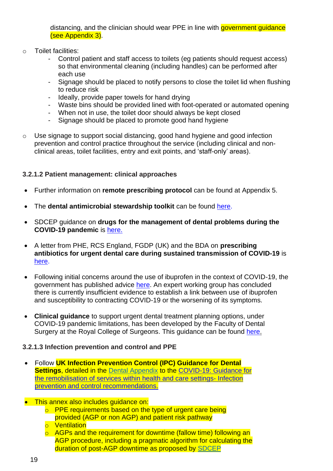distancing, and the clinician should wear PPE in line with government guidance (see Appendix 3).

- o Toilet facilities:
	- Control patient and staff access to toilets (eg patients should request access) so that environmental cleaning (including handles) can be performed after each use
	- Signage should be placed to notify persons to close the toilet lid when flushing to reduce risk
	- Ideally, provide paper towels for hand drying
	- Waste bins should be provided lined with foot-operated or automated opening
	- When not in use, the toilet door should always be kept closed
	- Signage should be placed to promote good hand hygiene
- o Use signage to support social distancing, good hand hygiene and good infection prevention and control practice throughout the service (including clinical and nonclinical areas, toilet facilities, entry and exit points, and 'staff-only' areas).

#### **3.2.1.2 Patient management: clinical approaches**

- Further information on **remote prescribing protocol** can be found at Appendix 5.
- The **dental antimicrobial stewardship toolkit** can be found [here.](https://www.gov.uk/guidance/dental-antimicrobial-stewardship-toolkit)
- SDCEP guidance on **drugs for the management of dental problems during the COVID-19 pandemic** is [here.](http://www.sdcep.org.uk/published-guidance/acute-dental-problems-covid-19/)
- A letter from PHE, RCS England, FGDP (UK) and the BDA on **prescribing antibiotics for urgent dental care during sustained transmission of COVID-19** is [here.](https://bda.org/advice/Coronavirus/Documents/Prescribing%20antibiotics%20in%20urgent%20dental%20care.pdf)
- Following initial concerns around the use of ibuprofen in the context of COVID-19, the government has published advice [here.](https://www.gov.uk/government/news/commission-on-human-medicines-advice-on-ibuprofen-and-coronavirus-covid-19) An expert working group has concluded there is currently insufficient evidence to establish a link between use of ibuprofen and susceptibility to contracting COVID-19 or the worsening of its symptoms.
- **Clinical guidance** to support urgent dental treatment planning options, under COVID-19 pandemic limitations, has been developed by the Faculty of Dental Surgery at the Royal College of Surgeons. This guidance can be found [here.](https://www.rcseng.ac.uk/dental-faculties/fds/coronavirus/)

#### **3.2.1.3 Infection prevention and control and PPE**

- Follow **UK Infection Prevention Control (IPC) Guidance for Dental Settings**, detailed in the [Dental Appendix](https://assets.publishing.service.gov.uk/government/uploads/system/uploads/attachment_data/file/928034/COVID-19_Infection_prevention_and_control_guidance_Dental_appendix.pdf) to the [COVID-19: Guidance for](https://assets.publishing.service.gov.uk/government/uploads/system/uploads/attachment_data/file/910885/COVID-19_Infection_prevention_and_control_guidance_FINAL_PDF_20082020.pdf)  [the remobilisation of services within health and care settings-](https://assets.publishing.service.gov.uk/government/uploads/system/uploads/attachment_data/file/910885/COVID-19_Infection_prevention_and_control_guidance_FINAL_PDF_20082020.pdf) Infection [prevention and control recommendations.](https://assets.publishing.service.gov.uk/government/uploads/system/uploads/attachment_data/file/910885/COVID-19_Infection_prevention_and_control_guidance_FINAL_PDF_20082020.pdf)
- This annex also includes quidance on:
	- o PPE requirements based on the type of urgent care being provided (AGP or non AGP) and patient risk pathway
	- o Ventilation
	- o AGPs and the requirement for downtime (fallow time) following an AGP procedure, including a pragmatic algorithm for calculating the duration of post-AGP downtime as proposed by [SDCEP](https://www.sdcep.org.uk/wp-content/uploads/2020/09/SDCEP-Mitigation-of-AGPS-in-Dentistry-Rapid-Review.pdf)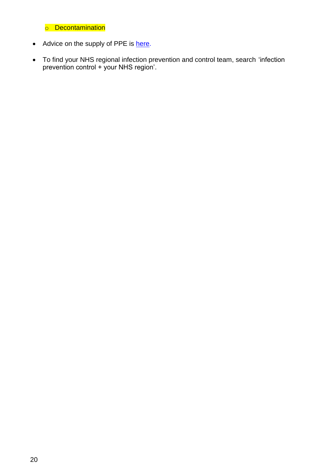o Decontamination

- Advice on the supply of PPE is [here.](https://www.england.nhs.uk/coronavirus/primary-care/infection-control/ppe/)
- To find your NHS regional infection prevention and control team, search 'infection prevention control + your NHS region'.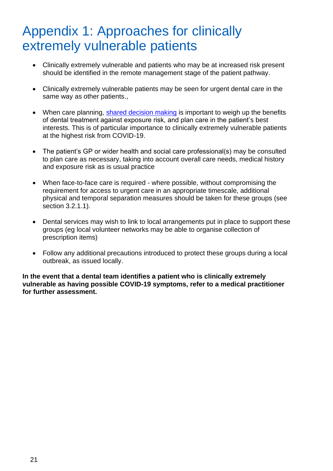# <span id="page-19-0"></span>Appendix 1: Approaches for clinically extremely vulnerable patients

- Clinically extremely vulnerable and patients who may be at increased risk present should be identified in the remote management stage of the patient pathway.
- Clinically extremely vulnerable patients may be seen for urgent dental care in the same way as other patients.,
- When care planning, [shared decision making](https://www.nice.org.uk/about/what-we-do/our-programmes/nice-guidance/nice-guidelines/shared-decision-making) is important to weigh up the benefits of dental treatment against exposure risk, and plan care in the patient's best interests. This is of particular importance to clinically extremely vulnerable patients at the highest risk from COVID-19.
- The patient's GP or wider health and social care professional(s) may be consulted to plan care as necessary, taking into account overall care needs, medical history and exposure risk as is usual practice
- When face-to-face care is required where possible, without compromising the requirement for access to urgent care in an appropriate timescale, additional physical and temporal separation measures should be taken for these groups (see section 3.2.1.1).
- Dental services may wish to link to local arrangements put in place to support these groups (eg local volunteer networks may be able to organise collection of prescription items)
- Follow any additional precautions introduced to protect these groups during a local outbreak, as issued locally.

**In the event that a dental team identifies a patient who is clinically extremely vulnerable as having possible COVID-19 symptoms, refer to a medical practitioner for further assessment.**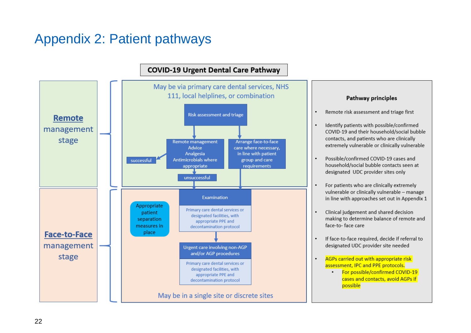# Appendix 2: Patient pathways

<span id="page-20-0"></span>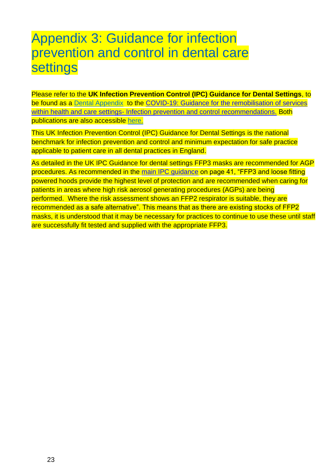# <span id="page-21-0"></span>Appendix 3: Guidance for infection prevention and control in dental care settings

Please refer to the **UK Infection Prevention Control (IPC) Guidance for Dental Settings**, to be found as a [Dental Appendix](https://assets.publishing.service.gov.uk/government/uploads/system/uploads/attachment_data/file/928034/COVID-19_Infection_prevention_and_control_guidance_Dental_appendix.pdf) to the COVID-19: Guidance for the remobilisation of services within health and care settings- [Infection prevention and control recommendations.](https://assets.publishing.service.gov.uk/government/uploads/system/uploads/attachment_data/file/910885/COVID-19_Infection_prevention_and_control_guidance_FINAL_PDF_20082020.pdf) Both publications are also accessible [here.](https://www.gov.uk/government/publications/wuhan-novel-coronavirus-infection-prevention-and-control)

This UK Infection Prevention Control (IPC) Guidance for Dental Settings is the national benchmark for infection prevention and control and minimum expectation for safe practice applicable to patient care in all dental practices in England.

As detailed in the UK IPC Guidance for dental settings FFP3 masks are recommended for AGP procedures. As recommended in the [main IPC guidance](https://assets.publishing.service.gov.uk/government/uploads/system/uploads/attachment_data/file/910885/COVID-19_Infection_prevention_and_control_guidance_FINAL_PDF_20082020.pdf) on page 41, "FFP3 and loose fitting powered hoods provide the highest level of protection and are recommended when caring for patients in areas where high risk aerosol generating procedures (AGPs) are being performed. Where the risk assessment shows an FFP2 respirator is suitable, they are recommended as a safe alternative". This means that as there are existing stocks of FFP2 masks, it is understood that it may be necessary for practices to continue to use these until staff are successfully fit tested and supplied with the appropriate FFP3.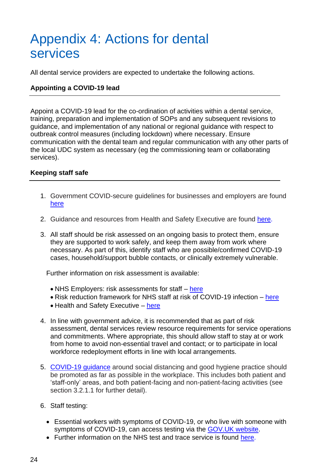# <span id="page-22-0"></span>Appendix 4: Actions for dental services

All dental service providers are expected to undertake the following actions.

#### **Appointing a COVID-19 lead**

Appoint a COVID-19 lead for the co-ordination of activities within a dental service, training, preparation and implementation of SOPs and any subsequent revisions to guidance, and implementation of any national or regional guidance with respect to outbreak control measures (including lockdown) where necessary. Ensure communication with the dental team and regular communication with any other parts of the local UDC system as necessary (eg the commissioning team or collaborating services).

#### **Keeping staff safe**

- 1. Government COVID-secure guidelines for businesses and employers are found [here](https://www.gov.uk/guidance/working-safely-during-coronavirus-covid-19)
- 2. Guidance and resources from Health and Safety Executive are found [here.](https://www.hse.gov.uk/coronavirus/working-safely/index.htm)
- 3. All staff should be risk assessed on an ongoing basis to protect them, ensure they are supported to work safely, and keep them away from work where necessary. As part of this, identify staff who are possible/confirmed COVID-19 cases, household/support bubble contacts, or clinically extremely vulnerable.

Further information on risk assessment is available:

- NHS Employers: risk assessments for staff [here](https://www.nhsemployers.org/covid19/health-safety-and-wellbeing/risk-assessments-for-staff)
- Risk reduction framework for NHS staff at risk of COVID-19 infection [here](https://www.fom.ac.uk/covid-19/update-risk-reduction-framework-for-nhs-staff-at-risk-of-covid-19-infection)
- Health and Safety Executive [here](https://www.hse.gov.uk/coronavirus/working-safely/risk-assessment.htm)
- 4. In line with government advice, it is recommended that as part of risk assessment, dental services review resource requirements for service operations and commitments. Where appropriate, this should allow staff to stay at or work from home to avoid non-essential travel and contact; or to participate in local workforce redeployment efforts in line with local arrangements.
- 5. [COVID-19 guidance](https://www.gov.uk/government/publications/staying-alert-and-safe-social-distancing/staying-alert-and-safe-social-distancing) around social distancing and good hygiene practice should be promoted as far as possible in the workplace. This includes both patient and 'staff-only' areas, and both patient-facing and non-patient-facing activities (see section 3.2.1.1 for further detail).
- 6. Staff testing:
	- Essential workers with symptoms of COVID-19, or who live with someone with symptoms of COVID-19, can access testing via the [GOV.UK website.](https://self-referral.test-for-coronavirus.service.gov.uk/)
	- Further information on the NHS test and trace service is found [here.](https://www.gov.uk/guidance/nhs-test-and-trace-how-it-works)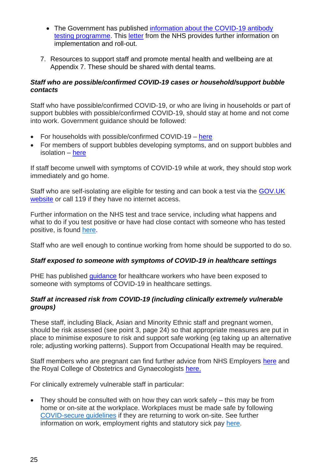- The Government has published [information about the COVID-19 antibody](https://www.gov.uk/government/publications/coronavirus-covid-19-antibody-tests)  [testing programme.](https://www.gov.uk/government/publications/coronavirus-covid-19-antibody-tests) This [letter](https://www.england.nhs.uk/coronavirus/publication/antibody-testing-programme-roll-out-for-nhs-staff-and-patients-letter-from-pauline-philip-and-professor-steven-powis/) from the NHS provides further information on implementation and roll-out.
- 7. Resources to support staff and promote mental health and wellbeing are at Appendix 7. These should be shared with dental teams.

#### *Staff who are possible/confirmed COVID-19 cases or household/support bubble contacts*

Staff who have possible/confirmed COVID-19, or who are living in households or part of support bubbles with possible/confirmed COVID-19, should stay at home and not come into work. Government guidance should be followed:

- For households with possible/confirmed COVID-19 [here](https://www.gov.uk/government/publications/covid-19-stay-at-home-guidance/stay-at-home-guidance-for-households-with-possible-coronavirus-covid-19-infection)
- For members of support bubbles developing symptoms, and on support bubbles and isolation – [here](https://www.gov.uk/guidance/meeting-people-from-outside-your-household-from-4-july#making-a-support-bubble-with-another-household)

If staff become unwell with symptoms of COVID-19 while at work, they should stop work immediately and go home.

Staff who are self-isolating are eligible for testing and can book a test via the **GOV.UK** [website](https://www.gov.uk/apply-coronavirus-test-essential-workers) or call 119 if they have no internet access.

Further information on the NHS test and trace service, including what happens and what to do if you test positive or have had close contact with someone who has tested positive, is found [here.](https://www.gov.uk/guidance/nhs-test-and-trace-how-it-works)

Staff who are well enough to continue working from home should be supported to do so.

#### *Staff exposed to someone with symptoms of COVID-19 in healthcare settings*

PHE has published quidance for healthcare workers who have been exposed to someone with symptoms of COVID-19 in healthcare settings.

#### *Staff at increased risk from COVID-19 (including clinically extremely vulnerable groups)*

These staff, including Black, Asian and Minority Ethnic staff and pregnant women, should be risk assessed (see point 3, page 24) so that appropriate measures are put in place to minimise exposure to risk and support safe working (eg taking up an alternative role; adjusting working patterns). Support from Occupational Health may be required.

Staff members who are pregnant can find further advice from NHS Employers [here](https://www.nhsemployers.org/news/2020/04/updated-guidance-on-supporting-pregnant-staff) and the Royal College of Obstetrics and Gynaecologists [here.](https://www.rcog.org.uk/en/guidelines-research-services/guidelines/coronavirus-pregnancy/covid-19-virus-infection-and-pregnancy/)

For clinically extremely vulnerable staff in particular:

• They should be consulted with on how they can work safely – this may be from home or on-site at the workplace. Workplaces must be made safe by following [COVID-secure](https://www.gov.uk/guidance/working-safely-during-coronavirus-covid-19) guidelines if they are returning to work on-site. See further information on work, employment rights and statutory sick pay [here.](https://www.gov.uk/government/publications/guidance-on-shielding-and-protecting-extremely-vulnerable-persons-from-covid-19/guidance-on-shielding-and-protecting-extremely-vulnerable-persons-from-covid-19)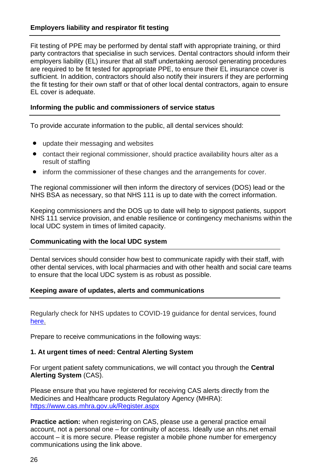#### **Employers liability and respirator fit testing**

Fit testing of PPE may be performed by dental staff with appropriate training, or third party contractors that specialise in such services. Dental contractors should inform their employers liability (EL) insurer that all staff undertaking aerosol generating procedures are required to be fit tested for appropriate PPE, to ensure their EL insurance cover is sufficient. In addition, contractors should also notify their insurers if they are performing the fit testing for their own staff or that of other local dental contractors, again to ensure EL cover is adequate.

#### **Informing the public and commissioners of service status**

To provide accurate information to the public, all dental services should:

- update their messaging and websites
- contact their regional commissioner, should practice availability hours alter as a result of staffing
- inform the commissioner of these changes and the arrangements for cover.

The regional commissioner will then inform the directory of services (DOS) lead or the NHS BSA as necessary, so that NHS 111 is up to date with the correct information.

Keeping commissioners and the DOS up to date will help to signpost patients, support NHS 111 service provision, and enable resilience or contingency mechanisms within the local UDC system in times of limited capacity.

#### **Communicating with the local UDC system**

Dental services should consider how best to communicate rapidly with their staff, with other dental services, with local pharmacies and with other health and social care teams to ensure that the local UDC system is as robust as possible.

#### **Keeping aware of updates, alerts and communications**

Regularly check for NHS updates to COVID-19 guidance for dental services, found [here.](https://www.england.nhs.uk/coronavirus/primary-care/dental-practice/)

Prepare to receive communications in the following ways:

#### **1. At urgent times of need: Central Alerting System**

For urgent patient safety communications, we will contact you through the **Central Alerting System** (CAS).

Please ensure that you have registered for receiving CAS alerts directly from the Medicines and Healthcare products Regulatory Agency (MHRA): [https://www.cas.mhra.gov.uk/Register.aspx](https://protect-eu.mimecast.com/s/Jvx3Cwr0LFRQqLC8evvw?domain=cas.mhra.gov.uk)

**Practice action:** when registering on CAS, please use a general practice email account, not a personal one – for continuity of access. Ideally use an nhs.net email account – it is more secure. Please register a mobile phone number for emergency communications using the link above.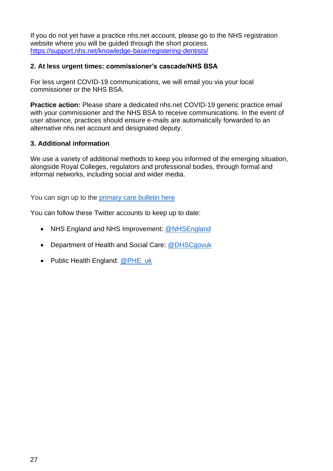If you do not yet have a practice nhs.net account, please go to the NHS registration website where you will be guided through the short process. <https://support.nhs.net/knowledge-base/registering-dentists/>

#### **2. At less urgent times: commissioner's cascade/NHS BSA**

For less urgent COVID-19 communications, we will email you via your local commissioner or the NHS BSA.

**Practice action:** Please share a dedicated nhs.net COVID-19 generic practice email with your commissioner and the NHS BSA to receive communications. In the event of user absence, practices should ensure e-mails are automatically forwarded to an alternative nhs.net account and designated deputy.

#### **3. Additional information**

We use a variety of additional methods to keep you informed of the emerging situation, alongside Royal Colleges, regulators and professional bodies, through formal and informal networks, including social and wider media.

You can sign up to the *primary* care bulletin here

You can follow these Twitter accounts to keep up to date:

- NHS England and NHS Improvement: [@NHSEngland](https://twitter.com/nhsengland)
- Department of Health and Social Care: [@DHSCgovuk](https://twitter.com/dhscgovuk)
- Public Health England: [@PHE\\_uk](https://twitter.com/phe_uk)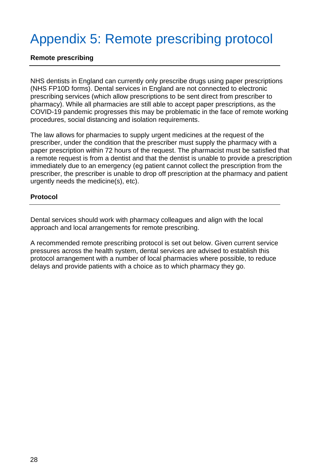# <span id="page-26-0"></span>Appendix 5: Remote prescribing protocol

#### **Remote prescribing**

NHS dentists in England can currently only prescribe drugs using paper prescriptions (NHS FP10D forms). Dental services in England are not connected to electronic prescribing services (which allow prescriptions to be sent direct from prescriber to pharmacy). While all pharmacies are still able to accept paper prescriptions, as the COVID-19 pandemic progresses this may be problematic in the face of remote working procedures, social distancing and isolation requirements.

The law allows for pharmacies to supply urgent medicines at the request of the prescriber, under the condition that the prescriber must supply the pharmacy with a paper prescription within 72 hours of the request. The pharmacist must be satisfied that a remote request is from a dentist and that the dentist is unable to provide a prescription immediately due to an emergency (eg patient cannot collect the prescription from the prescriber, the prescriber is unable to drop off prescription at the pharmacy and patient urgently needs the medicine(s), etc).

#### **Protocol**

Dental services should work with pharmacy colleagues and align with the local approach and local arrangements for remote prescribing.

A recommended remote prescribing protocol is set out below. Given current service pressures across the health system, dental services are advised to establish this protocol arrangement with a number of local pharmacies where possible, to reduce delays and provide patients with a choice as to which pharmacy they go.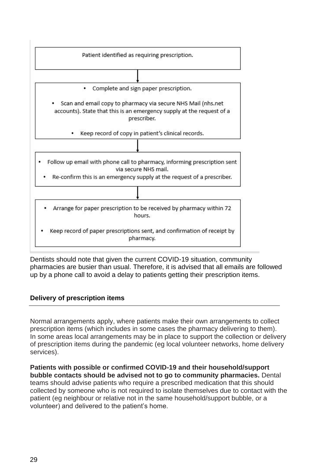| Patient identified as requiring prescription.                                                                                                        |
|------------------------------------------------------------------------------------------------------------------------------------------------------|
|                                                                                                                                                      |
| Complete and sign paper prescription.                                                                                                                |
| Scan and email copy to pharmacy via secure NHS Mail (nhs.net<br>accounts). State that this is an emergency supply at the request of a<br>prescriber. |
| Keep record of copy in patient's clinical records.                                                                                                   |
|                                                                                                                                                      |
| Follow up email with phone call to pharmacy, informing prescription sent<br>via secure NHS mail.                                                     |
| Re-confirm this is an emergency supply at the request of a prescriber.                                                                               |
|                                                                                                                                                      |
| Arrange for paper prescription to be received by pharmacy within 72<br>hours.                                                                        |
| Keep record of paper prescriptions sent, and confirmation of receipt by<br>pharmacy.                                                                 |

Dentists should note that given the current COVID-19 situation, community pharmacies are busier than usual. Therefore, it is advised that all emails are followed up by a phone call to avoid a delay to patients getting their prescription items.

#### **Delivery of prescription items**

Normal arrangements apply, where patients make their own arrangements to collect prescription items (which includes in some cases the pharmacy delivering to them). In some areas local arrangements may be in place to support the collection or delivery of prescription items during the pandemic (eg local volunteer networks, home delivery services).

**Patients with possible or confirmed COVID-19 and their household/support bubble contacts should be advised not to go to community pharmacies.** Dental teams should advise patients who require a prescribed medication that this should collected by someone who is not required to isolate themselves due to contact with the patient (eg neighbour or relative not in the same household/support bubble, or a volunteer) and delivered to the patient's home.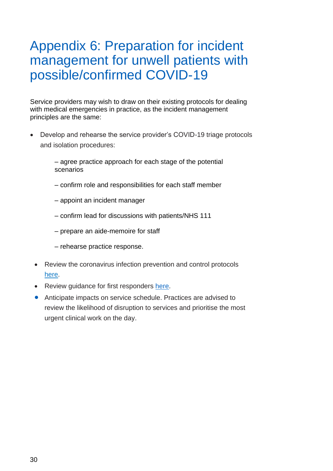# <span id="page-28-0"></span>Appendix 6: Preparation for incident management for unwell patients with possible/confirmed COVID-19

Service providers may wish to draw on their existing protocols for dealing with medical emergencies in practice, as the incident management principles are the same:

• Develop and rehearse the service provider's COVID-19 triage protocols and isolation procedures:

> – agree practice approach for each stage of the potential scenarios

- confirm role and responsibilities for each staff member
- appoint an incident manager
- confirm lead for discussions with patients/NHS 111
- prepare an aide-memoire for staff
- rehearse practice response.
- Review the coronavirus infection prevention and control protocols [here.](https://www.gov.uk/government/publications/wuhan-novel-coronavirus-infection-prevention-and-control)
- Review quidance for first responders [here.](https://www.gov.uk/government/publications/novel-coronavirus-2019-ncov-interim-guidance-for-first-responders/interim-guidance-for-first-responders-and-others-in-close-contact-with-symptomatic-people-with-potential-2019-ncov#what-to-do-if-you-are-required-to-come-into-close-contact-with-someone-as-part-of-your-first-responder-duties)
- Anticipate impacts on service schedule. Practices are advised to review the likelihood of disruption to services and prioritise the most urgent clinical work on the day.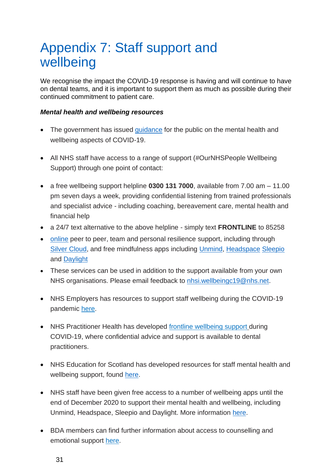# <span id="page-29-0"></span>Appendix 7: Staff support and wellbeing

We recognise the impact the COVID-19 response is having and will continue to have on dental teams, and it is important to support them as much as possible during their continued commitment to patient care.

#### *Mental health and wellbeing resources*

- The government has issued [guidance](https://www.gov.uk/government/publications/covid-19-guidance-for-the-public-on-mental-health-and-wellbeing/guidance-for-the-public-on-the-mental-health-and-wellbeing-aspects-of-coronavirus-covid-19) for the public on the mental health and wellbeing aspects of COVID-19.
- All NHS staff have access to a range of support (#OurNHSPeople Wellbeing Support) through one point of contact:
- a free wellbeing support helpline **0300 131 7000**, available from 7.00 am 11.00 pm seven days a week, providing confidential listening from trained professionals and specialist advice - including coaching, bereavement care, mental health and financial help
- a 24/7 text alternative to the above helpline simply text **FRONTLINE** to 85258
- [online](https://people.nhs.uk/) peer to peer, team and personal resilience support, including through [Silver Cloud,](https://www.silvercloudhealth.com/uk) and free mindfulness apps including [Unmind,](http://nhs.unmind.com/signup) [Headspace](http://www.headspace.com/nhs) [Sleepio](http://sleepio.com/nhs-staff) and [Daylight](http://trydaylight.com/nhs-staff)
- These services can be used in addition to the support available from your own NHS organisations. Please email feedback to [nhsi.wellbeingc19@nhs.net.](mailto:nhsi.wellbeingc19@nhs.net)
- NHS Employers has resources to support staff wellbeing during the COVID-19 pandemic [here.](https://www.nhsemployers.org/covid19/health-safety-and-wellbeing)
- NHS Practitioner Health has developed [frontline wellbeing support](https://www.practitionerhealth.nhs.uk/covid-19-workforce-wellbeing) during COVID-19, where confidential advice and support is available to dental practitioners.
- NHS Education for Scotland has developed resources for staff mental health and wellbeing support, found [here.](https://learn.nes.nhs.scot/28063/coronavirus-covid-19/psychosocial-mental-health-and-wellbeing-support-for-staff)
- NHS staff have been given free access to a number of wellbeing apps until the end of December 2020 to support their mental health and wellbeing, including Unmind, Headspace, Sleepio and Daylight. More information [here.](https://www.nhsemployers.org/news/2020/03/free-access-to-wellbeing-apps-for-all-nhs-staff)
- BDA members can find further information about access to counselling and emotional support [here.](https://www.bda.org/healthassured)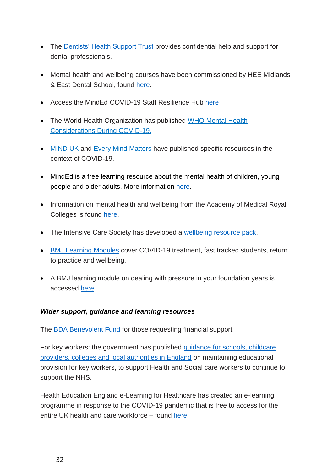- The [Dentists' Health Support Trust](https://dentistshealthsupporttrust.org/) provides confidential help and support for dental professionals.
- Mental health and wellbeing courses have been commissioned by HEE Midlands & East Dental School, found [here.](https://heeoe.hee.nhs.uk/dental/mental-health-and-wellbeing)
- Access the MindEd COVID-19 Staff Resilience Hub [here](http://covid.minded.org.uk/)
- The World Health Organization has published [WHO Mental Health](https://www.who.int/docs/default-source/coronaviruse/mental-health-considerations.pdf) [Considerations During COVID-19.](https://www.who.int/docs/default-source/coronaviruse/mental-health-considerations.pdf)
- [MIND UK](https://www.mind.org.uk/information-support/coronavirus-and-your-wellbeing/) and [Every Mind Matters h](https://www.nhs.uk/oneyou/every-mind-matters/coronavirus-covid-19-staying-at-home-tips/)ave published specific resources in the context of COVID-19.
- MindEd is a free learning resource about the mental health of children, young people and older adults. More information [here.](https://mindedforfamilies.org.uk/)
- Information on mental health and wellbeing from the Academy of Medical Royal Colleges is found [here.](https://www.aomrc.org.uk/covid-19-mentalwellbeing/)
- The Intensive Care Society has developed a [wellbeing resource pack.](https://www.ics.ac.uk/ICS/Education/Wellbeing/ICS/Wellbeing.aspx)
- [BMJ Learning Modules](https://new-learning.bmj.com/covid-19) cover COVID-19 treatment, fast tracked students, return to practice and wellbeing.
- A BMJ learning module on dealing with pressure in your foundation years is accessed [here.](https://learning.bmj.com/learning/module-intro/.html?moduleId=10062825)

#### *Wider support, guidance and learning resources*

The [BDA Benevolent Fund](https://www.bdabenevolentfund.org.uk/) for those requesting financial support.

For key workers: the government has published [guidance for schools, childcare](https://www.gov.uk/government/publications/coronavirus-covid-19-maintaining-educational-provision/guidance-for-schools-colleges-and-local-authorities-on-maintaining-educational-provision)  [providers, colleges and local authorities in England](https://www.gov.uk/government/publications/coronavirus-covid-19-maintaining-educational-provision/guidance-for-schools-colleges-and-local-authorities-on-maintaining-educational-provision) on maintaining educational provision for key workers, to support Health and Social care workers to continue to support the NHS.

Health Education England e-Learning for Healthcare has created an e-learning programme in response to the COVID-19 pandemic that is free to access for the entire UK health and care workforce – found [here.](https://www.e-lfh.org.uk/programmes/coronavirus/)